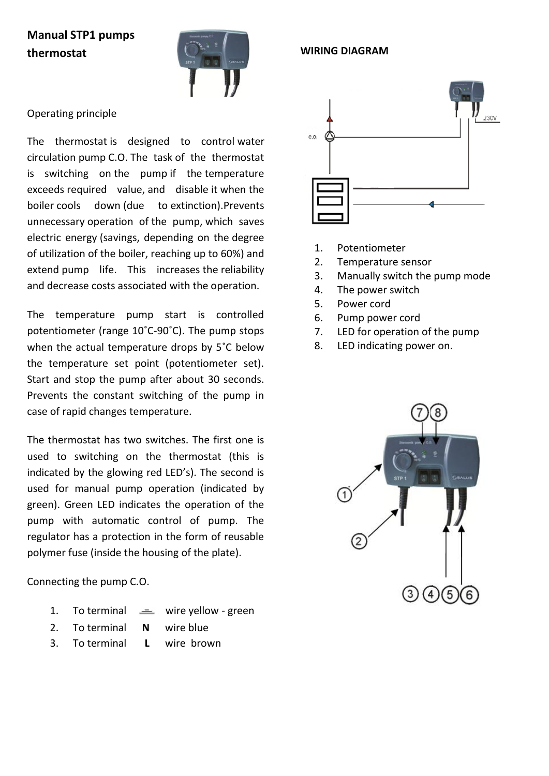# **Manual STP1 pumps thermostat**



## Operating principle

The thermostat is designed to control water circulation pump C.O. The task of the thermostat is switching on the pump if the temperature exceeds required value, and disable it when the boiler cools down (due to extinction).Prevents unnecessary operation of the pump, which saves electric energy (savings, depending on the degree of utilization of the boiler, reaching up to 60%) and extend pump life. This increases the reliability and decrease costs associated with the operation.

The temperature pump start is controlled potentiometer (range 10˚C-90˚C). The pump stops when the actual temperature drops by 5˚C below the temperature set point (potentiometer set). Start and stop the pump after about 30 seconds. Prevents the constant switching of the pump in case of rapid changes temperature.

The thermostat has two switches. The first one is used to switching on the thermostat (this is indicated by the glowing red LED's). The second is used for manual pump operation (indicated by green). Green LED indicates the operation of the pump with automatic control of pump. The regulator has a protection in the form of reusable polymer fuse (inside the housing of the plate).

Connecting the pump C.O.

- 1. To terminal  $\equiv$  wire yellow green
- 2. To terminal **N** wire blue
- 3. To terminal **L** wire brown



1. Potentiometer

**WIRING DIAGRAM**

- 2. Temperature sensor
- 3. Manually switch the pump mode
- 4. The power switch
- 5. Power cord
- 6. Pump power cord
- 7. LED for operation of the pump
- 8. LED indicating power on.